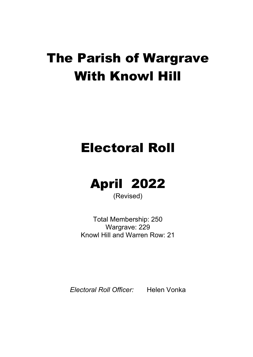# The Parish of Wargrave With Knowl Hill

### Electoral Roll

# April 2022

(Revised)

Total Membership: 250 Wargrave: 229 Knowl Hill and Warren Row: 21

*Electoral Roll Officer:* Helen Vonka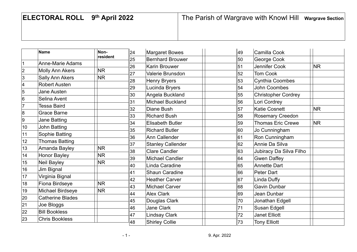**ELECTORAL ROLL 9th April 2022** The Parish of Wargrave with Knowl Hill **Wargrave Section**

|                  | <b>Name</b>             | Non-      | 24 | <b>Margaret Bowes</b>    | 49 | <b>Camilla Cook</b>        |           |
|------------------|-------------------------|-----------|----|--------------------------|----|----------------------------|-----------|
|                  |                         | resident  | 25 | <b>Bernhard Brouwer</b>  | 50 | George Cook                |           |
| $\overline{1}$   | Anne-Marie Adams        |           | 26 | Karin Brouwer            | 51 | Jennifer Cook              | <b>NR</b> |
| $\overline{2}$   | <b>Molly Ann Akers</b>  | <b>NR</b> | 27 | Valerie Brunsdon         | 52 | Tom Cook                   |           |
| 3                | <b>Sally Ann Akers</b>  | <b>NR</b> | 28 | <b>Henry Bryers</b>      | 53 | <b>Cynthia Coombes</b>     |           |
| $\overline{4}$   | <b>Robert Austen</b>    |           | 29 | Lucinda Bryers           | 54 | <b>John Coombes</b>        |           |
| 5                | Jane Austen             |           | 30 | Angela Buckland          | 55 | <b>Christopher Cordrey</b> |           |
| $6\phantom{1}6$  | Selina Avent            |           | 31 | <b>Michael Buckland</b>  | 56 | Lori Cordrey               |           |
| $\overline{7}$   | <b>Tessa Baird</b>      |           | 32 | Diane Bush               | 57 | <b>Katie Cosnett</b>       | <b>NR</b> |
| $\bf{8}$         | <b>Grace Barne</b>      |           | 33 | <b>Richard Bush</b>      | 58 | <b>Rosemary Creedon</b>    |           |
| $\boldsymbol{9}$ | Jane Batting            |           | 34 | <b>Elisabeth Butler</b>  | 59 | <b>Thomas Eric Crewe</b>   | <b>NR</b> |
| 10               | <b>John Batting</b>     |           | 35 | <b>Richard Butler</b>    | 60 | Jo Cunningham              |           |
| 11               | Sophie Batting          |           | 36 | Ann Callender            | 61 | Ron Cunningham             |           |
| 12               | <b>Thomas Batting</b>   |           | 37 | <b>Stanley Callender</b> | 62 | Annie Da Silva             |           |
| 13               | Amanda Bayley           | <b>NR</b> | 38 | <b>Clare Candler</b>     | 63 | Jubiracy Da Silva Filho    |           |
| 14               | <b>Honor Bayley</b>     | <b>NR</b> |    |                          |    |                            |           |
| 15               | <b>Neil Bayley</b>      | <b>NR</b> | 39 | <b>Michael Candler</b>   | 64 | <b>Gwen Daffey</b>         |           |
| 16               | Jim Bignal              |           | 40 | Linda Caradine           | 65 | <b>Annette Dart</b>        |           |
| 17               | Virginia Bignal         |           | 41 | <b>Shaun Caradine</b>    | 66 | Peter Dart                 |           |
| 18               | Fiona Birdseye          | <b>NR</b> | 42 | <b>Heather Carver</b>    | 67 | Linda Duffy                |           |
| 19               | Michael Birdseye        | <b>NR</b> | 43 | <b>Michael Carver</b>    | 68 | <b>Gavin Dunbar</b>        |           |
| 20               | <b>Catherine Blades</b> |           | 44 | <b>Alex Clark</b>        | 69 | Jean Dunbar                |           |
|                  |                         |           | 45 | Douglas Clark            | 70 | Jonathan Edgell            |           |
| 21               | Joe Bloggs              |           | 46 | Jane Clark               | 71 | <b>Susan Edgell</b>        |           |
| 22               | <b>Bill Bookless</b>    |           | 47 | <b>Lindsay Clark</b>     | 72 | <b>Janet Elliott</b>       |           |
| 23               | <b>Chris Bookless</b>   |           | 48 | <b>Shirley Collie</b>    | 73 | <b>Tony Elliott</b>        |           |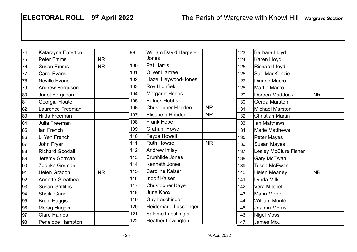**ELECTORAL ROLL 9th April 2022** The Parish of Wargrave with Knowl Hill **Wargrave Section**

| 74 | Katarzyna Emerton        |           | 99  | <b>William David Harper-</b> |           | 123 | Barbara Lloyd                |           |
|----|--------------------------|-----------|-----|------------------------------|-----------|-----|------------------------------|-----------|
| 75 | <b>Peter Emms</b>        | <b>NR</b> |     | Jones                        |           | 124 | Karen Lloyd                  |           |
| 76 | <b>Susan Emms</b>        | <b>NR</b> | 100 | <b>Pat Harris</b>            |           | 125 | <b>Richard Lloyd</b>         |           |
| 77 | <b>Carol Evans</b>       |           | 101 | <b>Oliver Hartree</b>        |           | 126 | Sue MacKenzie                |           |
| 78 | <b>Neville Evans</b>     |           | 102 | <b>Hazel Heywood-Jones</b>   |           | 127 | Dianne Macro                 |           |
| 79 | Andrew Ferguson          |           | 103 | <b>Roy Highfield</b>         |           | 128 | <b>Martin Macro</b>          |           |
| 80 | Janet Ferguson           |           | 104 | <b>Margaret Hobbs</b>        |           | 129 | Doreen Maddock               | <b>NR</b> |
| 81 | Georgia Floate           |           | 105 | <b>Patrick Hobbs</b>         |           | 130 | Gerda Marston                |           |
| 82 | Laurence Freeman         |           | 106 | Christopher Hobden           | <b>NR</b> | 131 | <b>Michael Marston</b>       |           |
| 83 | <b>Hilda Freeman</b>     |           | 107 | Elisabeth Hobden             | <b>NR</b> | 132 | <b>Christian Martin</b>      |           |
| 84 | Julia Freeman            |           | 108 | <b>Frank Hope</b>            |           | 133 | lan Matthews                 |           |
| 85 | lan French               |           | 109 | <b>Graham Howe</b>           |           | 134 | <b>Marie Matthews</b>        |           |
| 86 | Li Yen French            |           | 110 | <b>Feyza Howell</b>          |           | 135 | Peter Mayes                  |           |
| 87 | John Fryer               |           | 111 | <b>Ruth Howse</b>            | <b>NR</b> | 136 | <b>Susan Mayes</b>           |           |
| 88 | <b>Richard Goodall</b>   |           | 112 | <b>Andrew Imlay</b>          |           | 137 | <b>Lesley McClure Fisher</b> |           |
| 89 | Jeremy Gorman            |           | 113 | <b>Brunhilde Jones</b>       |           | 138 | <b>Gary McEwan</b>           |           |
| 90 | Zdenka Gorman            |           | 114 | <b>Kenneth Jones</b>         |           | 139 | <b>Tessa McEwan</b>          |           |
| 91 | <b>Helen Gradon</b>      | <b>NR</b> | 115 | <b>Caroline Kaiser</b>       |           | 140 | <b>Helen Meaney</b>          | <b>NR</b> |
| 92 | <b>Annette Greathead</b> |           | 116 | Ingolf Kaiser                |           | 141 | Lynda Mills                  |           |
| 93 | <b>Susan Griffiths</b>   |           | 117 | Christopher Kaye             |           | 142 | Vera Mitchell                |           |
| 94 | Sheila Gunn              |           | 118 | June Knox                    |           | 143 | Maria Monté                  |           |
| 95 | <b>Brian Haggis</b>      |           | 119 | <b>Guy Laschinger</b>        |           | 144 | William Monté                |           |
| 96 | Morag Haggis             |           | 120 | Heidemarie Laschinger        |           | 145 | Joanna Morris                |           |
| 97 | <b>Clare Haines</b>      |           | 121 | Salome Laschinger            |           | 146 | <b>Nigel Moss</b>            |           |
| 98 | Penelope Hampton         |           | 122 | <b>Heather Lewington</b>     |           | 147 | James Moul                   |           |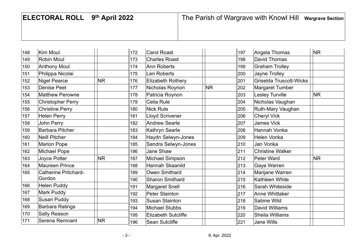**ELECTORAL ROLL 9th April 2022** The Parish of Wargrave with Knowl Hill **Wargrave Section**

| 148 | <b>Kim Moul</b>             |           | 172 | <b>Carol Roast</b>         |           | 197 | Angela Thomas                  | <b>NR</b> |
|-----|-----------------------------|-----------|-----|----------------------------|-----------|-----|--------------------------------|-----------|
| 149 | <b>Robin Moul</b>           |           | 173 | <b>Charles Roast</b>       |           | 198 | <b>David Thomas</b>            |           |
| 150 | <b>Anthony Moul</b>         |           | 174 | <b>Ann Roberts</b>         |           | 199 | <b>Graham Trolley</b>          |           |
| 151 | Philippa Nicolai            |           | 175 | Len Roberts                |           | 200 | Jayne Trolley                  |           |
| 152 | Nigel Pearce                | <b>NR</b> | 176 | <b>Elizabeth Rothery</b>   |           | 201 | <b>Griselda Truscott-Wicks</b> |           |
| 153 | <b>Denise Peet</b>          |           | 177 | Nicholas Roynon            | <b>NR</b> | 202 | Margaret Tumber                |           |
| 154 | <b>Matthew Perowne</b>      |           | 178 | Patricia Roynon            |           | 203 | <b>Lesley Turville</b>         | <b>NR</b> |
| 155 | <b>Christopher Perry</b>    |           | 179 | Celia Rule                 |           | 204 | Nicholas Vaughan               |           |
| 156 | <b>Christine Perry</b>      |           | 180 | <b>Nick Rule</b>           |           | 205 | Ruth-Mary Vaughan              |           |
| 157 | <b>Helen Perry</b>          |           | 181 | <b>Lloyd Scrivener</b>     |           | 206 | <b>Cheryl Vick</b>             |           |
| 158 | John Perry                  |           | 182 | <b>Andrew Searle</b>       |           | 207 | <b>James Vick</b>              |           |
| 159 | <b>Barbara Pitcher</b>      |           | 183 | <b>Kathryn Searle</b>      |           | 208 | Hannah Vonka                   |           |
| 160 | Neill Pitcher               |           | 184 | Haydn Selwyn-Jones         |           | 209 | Helen Vonka                    |           |
| 161 | <b>Marion Pope</b>          |           | 185 | Sandra Selwyn-Jones        |           | 210 | Jan Vonka                      |           |
| 162 | <b>Michael Pope</b>         |           | 186 | Jane Shaw                  |           | 211 | <b>Christine Walker</b>        |           |
| 163 | Joyce Potter                | <b>NR</b> | 187 | Michael Simpson            |           | 212 | <b>Peter Ward</b>              | <b>NR</b> |
| 164 | <b>Maureen Prince</b>       |           | 188 | <b>Hannah Skaanild</b>     |           | 213 | Gaye Warren                    |           |
| 165 | <b>Catherine Pritchard-</b> |           | 189 | <b>Owen Smithard</b>       |           | 214 | Marijane Warren                |           |
|     | Gordon                      |           | 190 | <b>Sharon Smithard</b>     |           | 215 | Kathleen White                 |           |
| 166 | <b>Helen Puddy</b>          |           | 191 | <b>Margaret Snell</b>      |           | 216 | Sarah Whiteside                |           |
| 167 | <b>Mark Puddy</b>           |           | 192 | Peter Stainton             |           | 217 | <b>Anne Whittaker</b>          |           |
| 168 | <b>Susan Puddy</b>          |           | 193 | <b>Susan Stainton</b>      |           | 218 | Sabine Wild                    |           |
| 169 | <b>Barbara Ratings</b>      |           | 194 | <b>Michael Stubbs</b>      |           | 219 | David Williams                 |           |
| 170 | <b>Sally Reason</b>         |           | 195 | <b>Elizabeth Sutcliffe</b> |           | 220 | <b>Sheila Williams</b>         |           |
| 171 | Serena Remnant              | <b>NR</b> | 196 | <b>Sean Sutcliffe</b>      |           | 221 | <b>Jane Wills</b>              |           |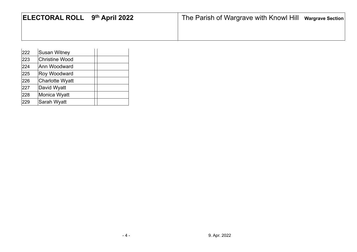| <b>ELECTORAL ROLL</b> 9th April 2022 | The Parish of Wargrave with Knowl Hill Wargrave Section |  |
|--------------------------------------|---------------------------------------------------------|--|
|                                      |                                                         |  |

| 222 | <b>Susan Witney</b>    |
|-----|------------------------|
| 223 | <b>Christine Wood</b>  |
| 224 | Ann Woodward           |
| 225 | Roy Woodward           |
| 226 | <b>Charlotte Wyatt</b> |
| 227 | David Wyatt            |
| 228 | <b>Monica Wyatt</b>    |
| 229 | Sarah Wyatt            |